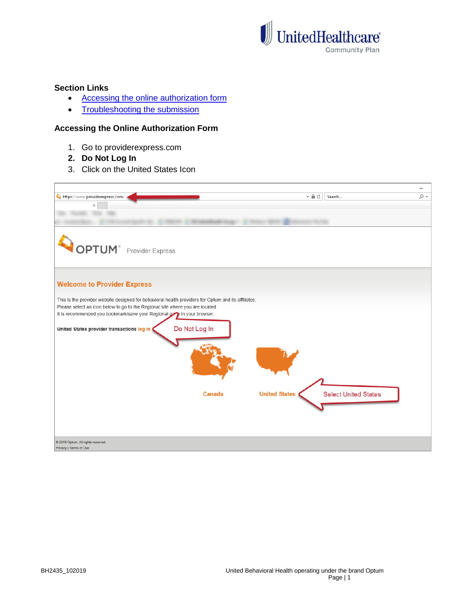

# **Section Links**

- [Accessing the online authorization form](#page-0-0)
- [Troubleshooting the submission](#page-2-0)

#### <span id="page-0-0"></span>**Accessing the Online Authorization Form**

- 1. Go to providerexpress.com
- **2. Do Not Log In**
- 3. Click on the United States Icon

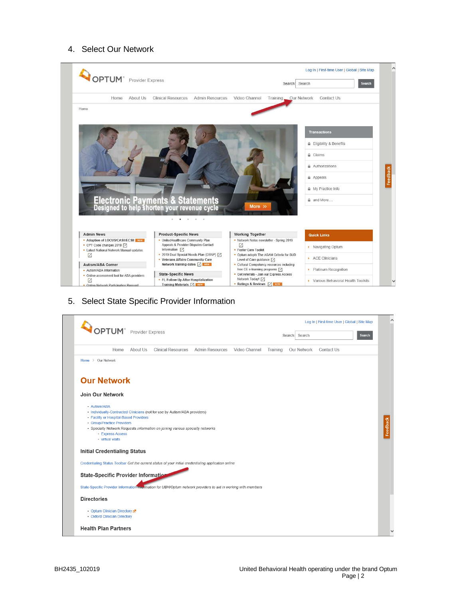### 4. Select Our Network



5. Select State Specific Provider Information

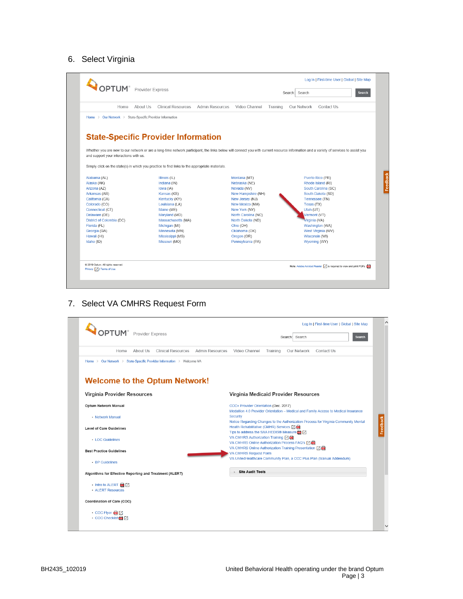#### 6. Select Virginia



7. Select VA CMHRS Request Form

<span id="page-2-0"></span>

| About Us<br>Home                                                      | Clinical Resources Admin Resources<br>Video Channel<br>Our Network<br>Contact Us<br>Training                                 |
|-----------------------------------------------------------------------|------------------------------------------------------------------------------------------------------------------------------|
| Home > Our Network > State-Specific Provider Information > Welcome VA |                                                                                                                              |
| <b>Welcome to the Optum Network!</b>                                  |                                                                                                                              |
| Virginia Provider Resources                                           | Virginia Medicaid Provider Resources                                                                                         |
| Optum Network Manual                                                  | CCC+ Provider Orientation (Dec. 2017)<br>Medallion 4.0 Provider Orientation - Medical and Family Access to Medical Insurance |
| • Network Manual                                                      | <b>Security</b><br>Notice Regarding Changes to the Authorization Process for Virginia Community Mental                       |
| <b>Level of Care Guidelines</b>                                       | Health Rehabilitative (CMHR) Services [7]<br>Tips to address the SAA HEDIS® Measure <b>m</b> 7                               |
| • LOC Guidelines                                                      | VA CMHRS Authorization Training [ 7 0<br>VA CMHRS Online Authorization Process FAQ's [7]                                     |
| <b>Best Practice Guidelines</b>                                       | VA CMHRS Online Authorization Training Presentation [ 7<br><b>VA CMHRS Request Form</b>                                      |
| • BP Guidelines                                                       | VA UnitedHealthcare Community Plan, a CCC Plus Plan (Manual Addendum)                                                        |
| Algorithms for Effective Reporting and Treatment (ALERT)              | <b>Site Audit Tools</b>                                                                                                      |
| · Intro to ALERT B [ 7]<br>• ALERT Resources                          |                                                                                                                              |
|                                                                       |                                                                                                                              |